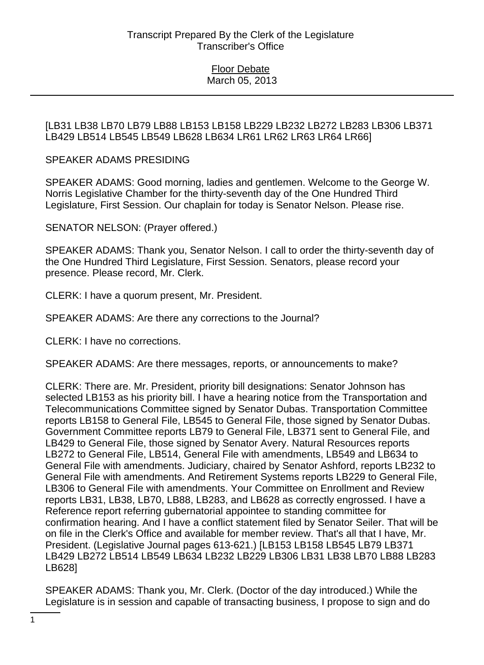## Floor Debate March 05, 2013

## [LB31 LB38 LB70 LB79 LB88 LB153 LB158 LB229 LB232 LB272 LB283 LB306 LB371 LB429 LB514 LB545 LB549 LB628 LB634 LR61 LR62 LR63 LR64 LR66]

## SPEAKER ADAMS PRESIDING

SPEAKER ADAMS: Good morning, ladies and gentlemen. Welcome to the George W. Norris Legislative Chamber for the thirty-seventh day of the One Hundred Third Legislature, First Session. Our chaplain for today is Senator Nelson. Please rise.

SENATOR NELSON: (Prayer offered.)

SPEAKER ADAMS: Thank you, Senator Nelson. I call to order the thirty-seventh day of the One Hundred Third Legislature, First Session. Senators, please record your presence. Please record, Mr. Clerk.

CLERK: I have a quorum present, Mr. President.

SPEAKER ADAMS: Are there any corrections to the Journal?

CLERK: I have no corrections.

SPEAKER ADAMS: Are there messages, reports, or announcements to make?

CLERK: There are. Mr. President, priority bill designations: Senator Johnson has selected LB153 as his priority bill. I have a hearing notice from the Transportation and Telecommunications Committee signed by Senator Dubas. Transportation Committee reports LB158 to General File, LB545 to General File, those signed by Senator Dubas. Government Committee reports LB79 to General File, LB371 sent to General File, and LB429 to General File, those signed by Senator Avery. Natural Resources reports LB272 to General File, LB514, General File with amendments, LB549 and LB634 to General File with amendments. Judiciary, chaired by Senator Ashford, reports LB232 to General File with amendments. And Retirement Systems reports LB229 to General File, LB306 to General File with amendments. Your Committee on Enrollment and Review reports LB31, LB38, LB70, LB88, LB283, and LB628 as correctly engrossed. I have a Reference report referring gubernatorial appointee to standing committee for confirmation hearing. And I have a conflict statement filed by Senator Seiler. That will be on file in the Clerk's Office and available for member review. That's all that I have, Mr. President. (Legislative Journal pages 613-621.) [LB153 LB158 LB545 LB79 LB371 LB429 LB272 LB514 LB549 LB634 LB232 LB229 LB306 LB31 LB38 LB70 LB88 LB283 LB628]

SPEAKER ADAMS: Thank you, Mr. Clerk. (Doctor of the day introduced.) While the Legislature is in session and capable of transacting business, I propose to sign and do